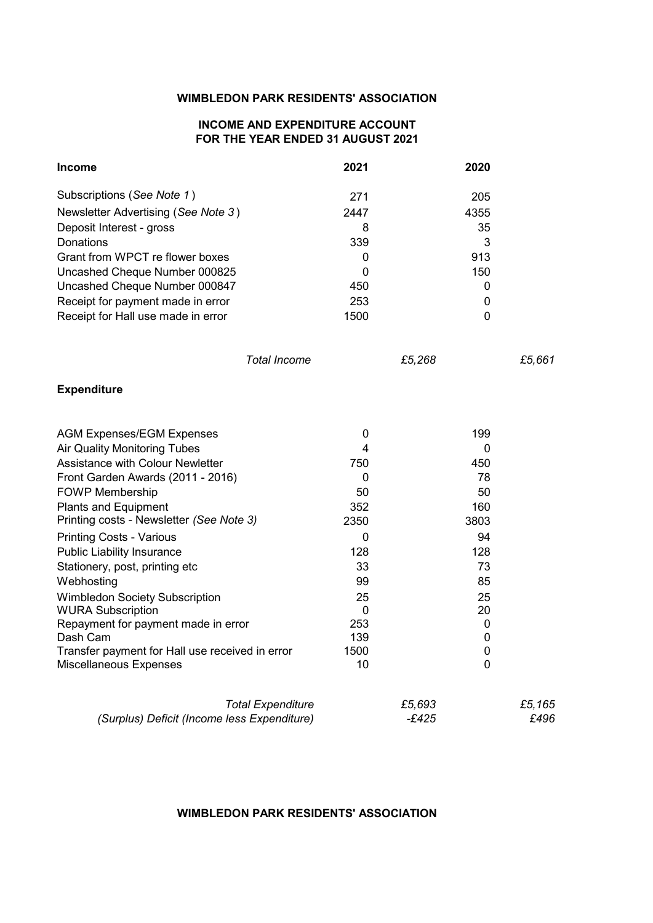#### **WIMBLEDON PARK RESIDENTS' ASSOCIATION**

## **INCOME AND EXPENDITURE ACCOUNT FOR THE YEAR ENDED 31 AUGUST 2021**

| <b>Income</b>                                   | 2021               | 2020    |        |
|-------------------------------------------------|--------------------|---------|--------|
| Subscriptions (See Note 1)                      | 271                | 205     |        |
| Newsletter Advertising (See Note 3)             | 2447               | 4355    |        |
| Deposit Interest - gross                        | 8                  | 35      |        |
| Donations                                       | 339                | 3       |        |
| Grant from WPCT re flower boxes                 | 0                  | 913     |        |
| Uncashed Cheque Number 000825                   | 0                  | 150     |        |
| Uncashed Cheque Number 000847                   | 450                | 0       |        |
| Receipt for payment made in error               | 253                | 0       |        |
| Receipt for Hall use made in error              | 1500               | 0       |        |
| <b>Total Income</b>                             |                    | £5,268  | £5,661 |
| <b>Expenditure</b>                              |                    |         |        |
| <b>AGM Expenses/EGM Expenses</b>                | 0                  | 199     |        |
| <b>Air Quality Monitoring Tubes</b>             | 4                  | 0       |        |
| <b>Assistance with Colour Newletter</b>         | 750                | 450     |        |
| Front Garden Awards (2011 - 2016)               | 0                  | 78      |        |
| <b>FOWP Membership</b>                          | 50                 | 50      |        |
| <b>Plants and Equipment</b>                     | 352                | 160     |        |
| Printing costs - Newsletter (See Note 3)        | 2350               | 3803    |        |
| <b>Printing Costs - Various</b>                 | 0                  | 94      |        |
| <b>Public Liability Insurance</b>               | 128                | 128     |        |
| Stationery, post, printing etc                  | 33                 | 73      |        |
| Webhosting                                      | 99                 | 85      |        |
| <b>Wimbledon Society Subscription</b>           | 25                 | 25      |        |
| <b>WURA Subscription</b>                        | $\mathbf 0$<br>253 | 20<br>0 |        |
| Repayment for payment made in error<br>Dash Cam | 139                | 0       |        |
| Transfer payment for Hall use received in error | 1500               | 0       |        |
| Miscellaneous Expenses                          | 10                 | 0       |        |
| <b>Total Expenditure</b>                        |                    | £5,693  | £5,165 |
| (Surplus) Deficit (Income less Expenditure)     |                    | $-E425$ | £496   |

## **WIMBLEDON PARK RESIDENTS' ASSOCIATION**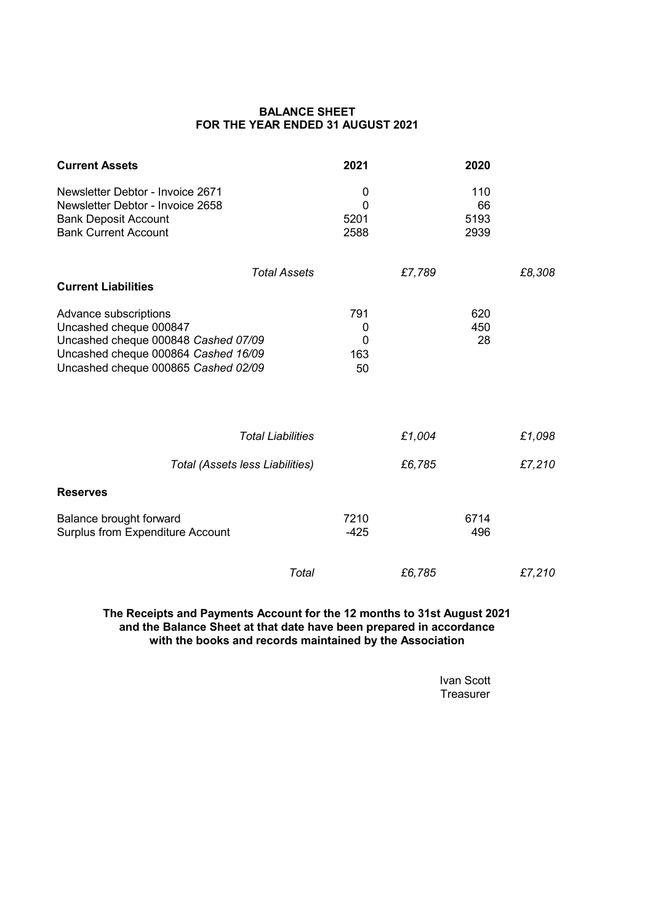### **BALANCE SHEET FOR THE YEAR ENDED 31 AUGUST 2021**

| <b>Current Assets</b>                                                                                                                                                |                          | 2021                                 | 2020                      |        |
|----------------------------------------------------------------------------------------------------------------------------------------------------------------------|--------------------------|--------------------------------------|---------------------------|--------|
| Newsletter Debtor - Invoice 2671<br>Newsletter Debtor - Invoice 2658<br><b>Bank Deposit Account</b><br><b>Bank Current Account</b>                                   |                          | 0<br>0<br>5201<br>2588               | 110<br>66<br>5193<br>2939 |        |
| <b>Current Liabilities</b>                                                                                                                                           | <b>Total Assets</b>      |                                      | £7,789                    | £8,308 |
| Advance subscriptions<br>Uncashed cheque 000847<br>Uncashed cheque 000848 Cashed 07/09<br>Uncashed cheque 000864 Cashed 16/09<br>Uncashed cheque 000865 Cashed 02/09 |                          | 791<br>0<br>$\mathbf 0$<br>163<br>50 | 620<br>450<br>28          |        |
|                                                                                                                                                                      | <b>Total Liabilities</b> |                                      | £1,004                    | £1,098 |
| Total (Assets less Liabilities)                                                                                                                                      |                          |                                      | £6,785                    | £7,210 |
| <b>Reserves</b>                                                                                                                                                      |                          |                                      |                           |        |
| Balance brought forward<br>Surplus from Expenditure Account                                                                                                          |                          | 7210<br>$-425$                       | 6714<br>496               |        |
|                                                                                                                                                                      | <b>Total</b>             |                                      | £6,785                    | £7,210 |

### **The Receipts and Payments Account for the 12 months to 31st August 2021 with the books and records maintained by the Association and the Balance Sheet at that date have been prepared in accordance**

**Treasurer** Ivan Scott